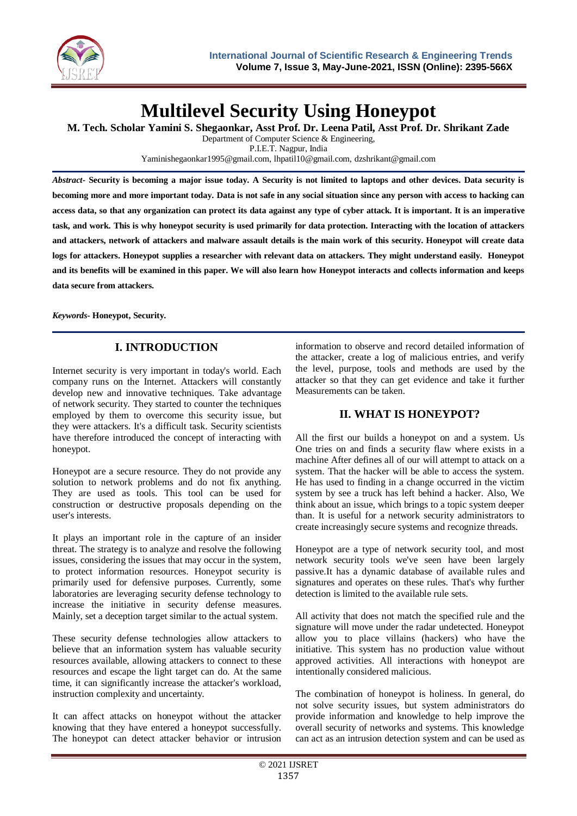

# **Multilevel Security Using Honeypot**

**M. Tech. Scholar Yamini S. Shegaonkar, Asst Prof. Dr. Leena Patil, Asst Prof. Dr. Shrikant Zade**

Department of Computer Science & Engineering,

P.I.E.T. Nagpur, India Yaminishegaonkar1995@gmail.com, lhpatil10@gmail.com, dzshrikant@gmail.com

*Abstract-* **Security is becoming a major issue today. A Security is not limited to laptops and other devices. Data security is becoming more and more important today. Data is not safe in any social situation since any person with access to hacking can access data, so that any organization can protect its data against any type of cyber attack. It is important. It is an imperative task, and work. This is why honeypot security is used primarily for data protection. Interacting with the location of attackers and attackers, network of attackers and malware assault details is the main work of this security. Honeypot will create data logs for attackers. Honeypot supplies a researcher with relevant data on attackers. They might understand easily. Honeypot and its benefits will be examined in this paper. We will also learn how Honeypot interacts and collects information and keeps data secure from attackers.**

*Keywords***- Honeypot, Security.**

# **I. INTRODUCTION**

Internet security is very important in today's world. Each company runs on the Internet. Attackers will constantly develop new and innovative techniques. Take advantage of network security. They started to counter the techniques employed by them to overcome this security issue, but they were attackers. It's a difficult task. Security scientists have therefore introduced the concept of interacting with honeypot.

Honeypot are a secure resource. They do not provide any solution to network problems and do not fix anything. They are used as tools. This tool can be used for construction or destructive proposals depending on the user's interests.

It plays an important role in the capture of an insider threat. The strategy is to analyze and resolve the following issues, considering the issues that may occur in the system, to protect information resources. Honeypot security is primarily used for defensive purposes. Currently, some laboratories are leveraging security defense technology to increase the initiative in security defense measures. Mainly, set a deception target similar to the actual system.

These security defense technologies allow attackers to believe that an information system has valuable security resources available, allowing attackers to connect to these resources and escape the light target can do. At the same time, it can significantly increase the attacker's workload, instruction complexity and uncertainty.

It can affect attacks on honeypot without the attacker knowing that they have entered a honeypot successfully. The honeypot can detect attacker behavior or intrusion information to observe and record detailed information of the attacker, create a log of malicious entries, and verify the level, purpose, tools and methods are used by the attacker so that they can get evidence and take it further Measurements can be taken.

# **II. WHAT IS HONEYPOT?**

All the first our builds a honeypot on and a system. Us One tries on and finds a security flaw where exists in a machine After defines all of our will attempt to attack on a system. That the hacker will be able to access the system. He has used to finding in a change occurred in the victim system by see a truck has left behind a hacker. Also, We think about an issue, which brings to a topic system deeper than. It is useful for a network security administrators to create increasingly secure systems and recognize threads.

Honeypot are a type of network security tool, and most network security tools we've seen have been largely passive.It has a dynamic database of available rules and signatures and operates on these rules. That's why further detection is limited to the available rule sets.

All activity that does not match the specified rule and the signature will move under the radar undetected. Honeypot allow you to place villains (hackers) who have the initiative. This system has no production value without approved activities. All interactions with honeypot are intentionally considered malicious.

The combination of honeypot is holiness. In general, do not solve security issues, but system administrators do provide information and knowledge to help improve the overall security of networks and systems. This knowledge can act as an intrusion detection system and can be used as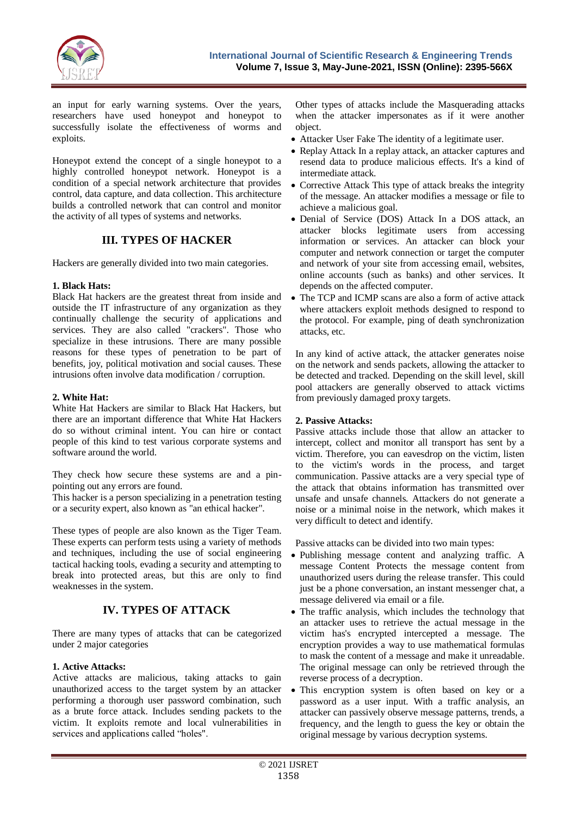

an input for early warning systems. Over the years, researchers have used honeypot and honeypot to successfully isolate the effectiveness of worms and exploits.

Honeypot extend the concept of a single honeypot to a highly controlled honeypot network. Honeypot is a condition of a special network architecture that provides control, data capture, and data collection. This architecture builds a controlled network that can control and monitor the activity of all types of systems and networks.

## **III. TYPES OF HACKER**

Hackers are generally divided into two main categories.

## **1. Black Hats:**

Black Hat hackers are the greatest threat from inside and outside the IT infrastructure of any organization as they continually challenge the security of applications and services. They are also called "crackers". Those who specialize in these intrusions. There are many possible reasons for these types of penetration to be part of benefits, joy, political motivation and social causes. These intrusions often involve data modification / corruption.

## **2. White Hat:**

White Hat Hackers are similar to Black Hat Hackers, but there are an important difference that White Hat Hackers do so without criminal intent. You can hire or contact people of this kind to test various corporate systems and software around the world.

They check how secure these systems are and a pinpointing out any errors are found.

This hacker is a person specializing in a penetration testing or a security expert, also known as "an ethical hacker".

These types of people are also known as the Tiger Team. These experts can perform tests using a variety of methods and techniques, including the use of social engineering tactical hacking tools, evading a security and attempting to break into protected areas, but this are only to find weaknesses in the system.

# **IV. TYPES OF ATTACK**

There are many types of attacks that can be categorized under 2 major categories

## **1. Active Attacks:**

Active attacks are malicious, taking attacks to gain unauthorized access to the target system by an attacker performing a thorough user password combination, such as a brute force attack. Includes sending packets to the victim. It exploits remote and local vulnerabilities in services and applications called "holes".

Other types of attacks include the Masquerading attacks when the attacker impersonates as if it were another object.

- Attacker User Fake The identity of a legitimate user.
- Replay Attack In a replay attack, an attacker captures and resend data to produce malicious effects. It's a kind of intermediate attack.
- Corrective Attack This type of attack breaks the integrity of the message. An attacker modifies a message or file to achieve a malicious goal.
- Denial of Service (DOS) Attack In a DOS attack, an attacker blocks legitimate users from accessing information or services. An attacker can block your computer and network connection or target the computer and network of your site from accessing email, websites, online accounts (such as banks) and other services. It depends on the affected computer.
- The TCP and ICMP scans are also a form of active attack where attackers exploit methods designed to respond to the protocol. For example, ping of death synchronization attacks, etc.

In any kind of active attack, the attacker generates noise on the network and sends packets, allowing the attacker to be detected and tracked. Depending on the skill level, skill pool attackers are generally observed to attack victims from previously damaged proxy targets.

### **2. Passive Attacks:**

Passive attacks include those that allow an attacker to intercept, collect and monitor all transport has sent by a victim. Therefore, you can eavesdrop on the victim, listen to the victim's words in the process, and target communication. Passive attacks are a very special type of the attack that obtains information has transmitted over unsafe and unsafe channels. Attackers do not generate a noise or a minimal noise in the network, which makes it very difficult to detect and identify.

Passive attacks can be divided into two main types:

- Publishing message content and analyzing traffic. A message Content Protects the message content from unauthorized users during the release transfer. This could just be a phone conversation, an instant messenger chat, a message delivered via email or a file.
- The traffic analysis, which includes the technology that an attacker uses to retrieve the actual message in the victim has's encrypted intercepted a message. The encryption provides a way to use mathematical formulas to mask the content of a message and make it unreadable. The original message can only be retrieved through the reverse process of a decryption.
- This encryption system is often based on key or a password as a user input. With a traffic analysis, an attacker can passively observe message patterns, trends, a frequency, and the length to guess the key or obtain the original message by various decryption systems.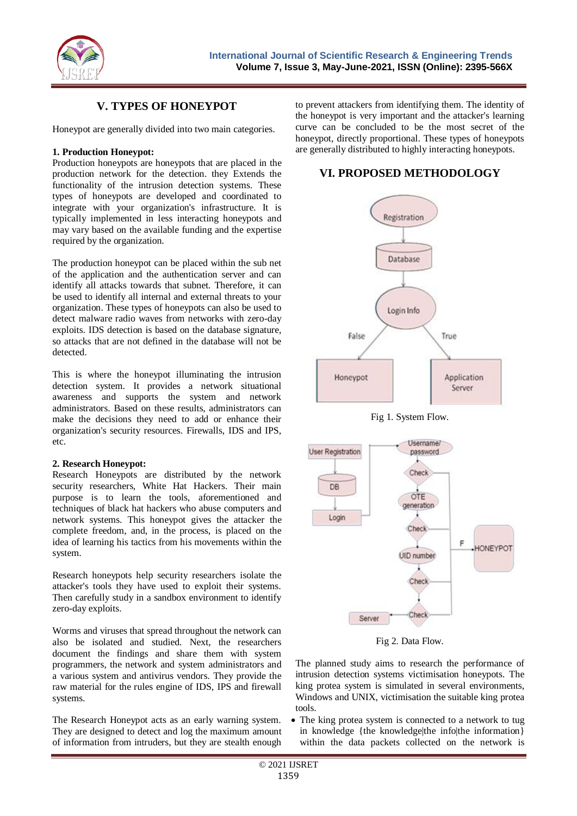

## **V. TYPES OF HONEYPOT**

Honeypot are generally divided into two main categories.

## **1. Production Honeypot:**

Production honeypots are honeypots that are placed in the production network for the detection. they Extends the functionality of the intrusion detection systems. These types of honeypots are developed and coordinated to integrate with your organization's infrastructure. It is typically implemented in less interacting honeypots and may vary based on the available funding and the expertise required by the organization.

The production honeypot can be placed within the sub net of the application and the authentication server and can identify all attacks towards that subnet. Therefore, it can be used to identify all internal and external threats to your organization. These types of honeypots can also be used to detect malware radio waves from networks with zero-day exploits. IDS detection is based on the database signature, so attacks that are not defined in the database will not be detected.

This is where the honeypot illuminating the intrusion detection system. It provides a network situational awareness and supports the system and network administrators. Based on these results, administrators can make the decisions they need to add or enhance their organization's security resources. Firewalls, IDS and IPS, etc.

### **2. Research Honeypot:**

Research Honeypots are distributed by the network security researchers, White Hat Hackers. Their main purpose is to learn the tools, aforementioned and techniques of black hat hackers who abuse computers and network systems. This honeypot gives the attacker the complete freedom, and, in the process, is placed on the idea of learning his tactics from his movements within the system.

Research honeypots help security researchers isolate the attacker's tools they have used to exploit their systems. Then carefully study in a sandbox environment to identify zero-day exploits.

Worms and viruses that spread throughout the network can also be isolated and studied. Next, the researchers document the findings and share them with system programmers, the network and system administrators and a various system and antivirus vendors. They provide the raw material for the rules engine of IDS, IPS and firewall systems.

The Research Honeypot acts as an early warning system. They are designed to detect and log the maximum amount of information from intruders, but they are stealth enough

to prevent attackers from identifying them. The identity of the honeypot is very important and the attacker's learning curve can be concluded to be the most secret of the honeypot, directly proportional. These types of honeypots are generally distributed to highly interacting honeypots.

## **VI. PROPOSED METHODOLOGY**







Fig 2. Data Flow.

The planned study aims to research the performance of intrusion detection systems victimisation honeypots. The king protea system is simulated in several environments, Windows and UNIX, victimisation the suitable king protea tools.

 The king protea system is connected to a network to tug in knowledge {the knowledge|the info|the information} within the data packets collected on the network is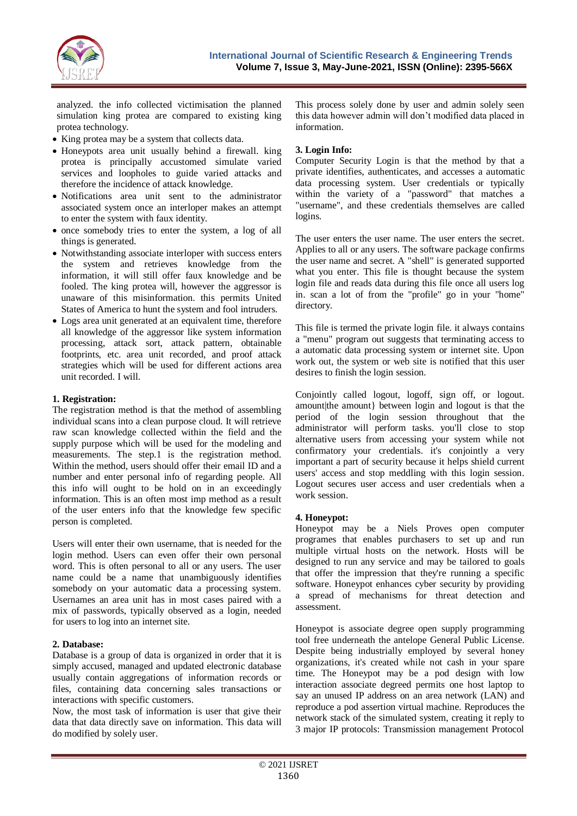

analyzed. the info collected victimisation the planned simulation king protea are compared to existing king protea technology.

- King protea may be a system that collects data.
- Honeypots area unit usually behind a firewall. king protea is principally accustomed simulate varied services and loopholes to guide varied attacks and therefore the incidence of attack knowledge.
- Notifications area unit sent to the administrator associated system once an interloper makes an attempt to enter the system with faux identity.
- once somebody tries to enter the system, a log of all things is generated.
- Notwithstanding associate interloper with success enters the system and retrieves knowledge from the information, it will still offer faux knowledge and be fooled. The king protea will, however the aggressor is unaware of this misinformation. this permits United States of America to hunt the system and fool intruders.
- Logs area unit generated at an equivalent time, therefore all knowledge of the aggressor like system information processing, attack sort, attack pattern, obtainable footprints, etc. area unit recorded, and proof attack strategies which will be used for different actions area unit recorded. I will.

## **1. Registration:**

The registration method is that the method of assembling individual scans into a clean purpose cloud. It will retrieve raw scan knowledge collected within the field and the supply purpose which will be used for the modeling and measurements. The step.1 is the registration method. Within the method, users should offer their email ID and a number and enter personal info of regarding people. All this info will ought to be hold on in an exceedingly information. This is an often most imp method as a result of the user enters info that the knowledge few specific person is completed.

Users will enter their own username, that is needed for the login method. Users can even offer their own personal word. This is often personal to all or any users. The user name could be a name that unambiguously identifies somebody on your automatic data a processing system. Usernames an area unit has in most cases paired with a mix of passwords, typically observed as a login, needed for users to log into an internet site.

### **2. Database:**

Database is a group of data is organized in order that it is simply accused, managed and updated electronic database usually contain aggregations of information records or files, containing data concerning sales transactions or interactions with specific customers.

Now, the most task of information is user that give their data that data directly save on information. This data will do modified by solely user.

This process solely done by user and admin solely seen this data however admin will don't modified data placed in information.

## **3. Login Info:**

Computer Security Login is that the method by that a private identifies, authenticates, and accesses a automatic data processing system. User credentials or typically within the variety of a "password" that matches a "username", and these credentials themselves are called logins.

The user enters the user name. The user enters the secret. Applies to all or any users. The software package confirms the user name and secret. A "shell" is generated supported what you enter. This file is thought because the system login file and reads data during this file once all users log in. scan a lot of from the "profile" go in your "home" directory.

This file is termed the private login file. it always contains a "menu" program out suggests that terminating access to a automatic data processing system or internet site. Upon work out, the system or web site is notified that this user desires to finish the login session.

Conjointly called logout, logoff, sign off, or logout. amount|the amount| between login and logout is that the period of the login session throughout that the administrator will perform tasks. you'll close to stop alternative users from accessing your system while not confirmatory your credentials. it's conjointly a very important a part of security because it helps shield current users' access and stop meddling with this login session. Logout secures user access and user credentials when a work session.

### **4. Honeypot:**

Honeypot may be a Niels Proves open computer programes that enables purchasers to set up and run multiple virtual hosts on the network. Hosts will be designed to run any service and may be tailored to goals that offer the impression that they're running a specific software. Honeypot enhances cyber security by providing a spread of mechanisms for threat detection and assessment.

Honeypot is associate degree open supply programming tool free underneath the antelope General Public License. Despite being industrially employed by several honey organizations, it's created while not cash in your spare time. The Honeypot may be a pod design with low interaction associate degreed permits one host laptop to say an unused IP address on an area network (LAN) and reproduce a pod assertion virtual machine. Reproduces the network stack of the simulated system, creating it reply to 3 major IP protocols: Transmission management Protocol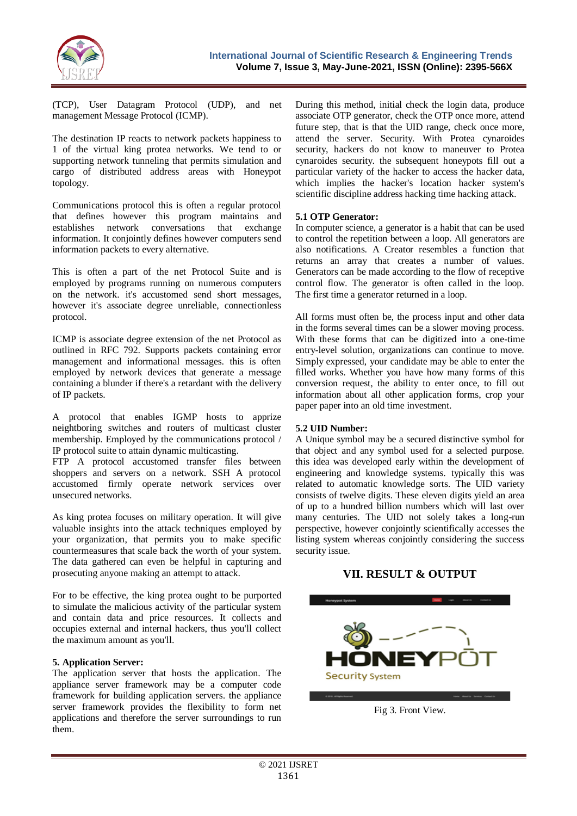

(TCP), User Datagram Protocol (UDP), and net management Message Protocol (ICMP).

The destination IP reacts to network packets happiness to 1 of the virtual king protea networks. We tend to or supporting network tunneling that permits simulation and cargo of distributed address areas with Honeypot topology.

Communications protocol this is often a regular protocol that defines however this program maintains and establishes network conversations that exchange information. It conjointly defines however computers send information packets to every alternative.

This is often a part of the net Protocol Suite and is employed by programs running on numerous computers on the network. it's accustomed send short messages, however it's associate degree unreliable, connectionless protocol.

ICMP is associate degree extension of the net Protocol as outlined in RFC 792. Supports packets containing error management and informational messages. this is often employed by network devices that generate a message containing a blunder if there's a retardant with the delivery of IP packets.

A protocol that enables IGMP hosts to apprize neightboring switches and routers of multicast cluster membership. Employed by the communications protocol / IP protocol suite to attain dynamic multicasting.

FTP A protocol accustomed transfer files between shoppers and servers on a network. SSH A protocol accustomed firmly operate network services over unsecured networks.

As king protea focuses on military operation. It will give valuable insights into the attack techniques employed by your organization, that permits you to make specific countermeasures that scale back the worth of your system. The data gathered can even be helpful in capturing and prosecuting anyone making an attempt to attack.

For to be effective, the king protea ought to be purported to simulate the malicious activity of the particular system and contain data and price resources. It collects and occupies external and internal hackers, thus you'll collect the maximum amount as you'll.

### **5. Application Server:**

The application server that hosts the application. The appliance server framework may be a computer code framework for building application servers. the appliance server framework provides the flexibility to form net applications and therefore the server surroundings to run them.

During this method, initial check the login data, produce associate OTP generator, check the OTP once more, attend future step, that is that the UID range, check once more, attend the server. Security. With Protea cynaroides security, hackers do not know to maneuver to Protea cynaroides security. the subsequent honeypots fill out a particular variety of the hacker to access the hacker data, which implies the hacker's location hacker system's scientific discipline address hacking time hacking attack.

## **5.1 OTP Generator:**

In computer science, a generator is a habit that can be used to control the repetition between a loop. All generators are also notifications. A Creator resembles a function that returns an array that creates a number of values. Generators can be made according to the flow of receptive control flow. The generator is often called in the loop. The first time a generator returned in a loop.

All forms must often be, the process input and other data in the forms several times can be a slower moving process. With these forms that can be digitized into a one-time entry-level solution, organizations can continue to move. Simply expressed, your candidate may be able to enter the filled works. Whether you have how many forms of this conversion request, the ability to enter once, to fill out information about all other application forms, crop your paper paper into an old time investment.

## **5.2 UID Number:**

A Unique symbol may be a secured distinctive symbol for that object and any symbol used for a selected purpose. this idea was developed early within the development of engineering and knowledge systems. typically this was related to automatic knowledge sorts. The UID variety consists of twelve digits. These eleven digits yield an area of up to a hundred billion numbers which will last over many centuries. The UID not solely takes a long-run perspective, however conjointly scientifically accesses the listing system whereas conjointly considering the success security issue.

## **VII. RESULT & OUTPUT**



Fig 3. Front View.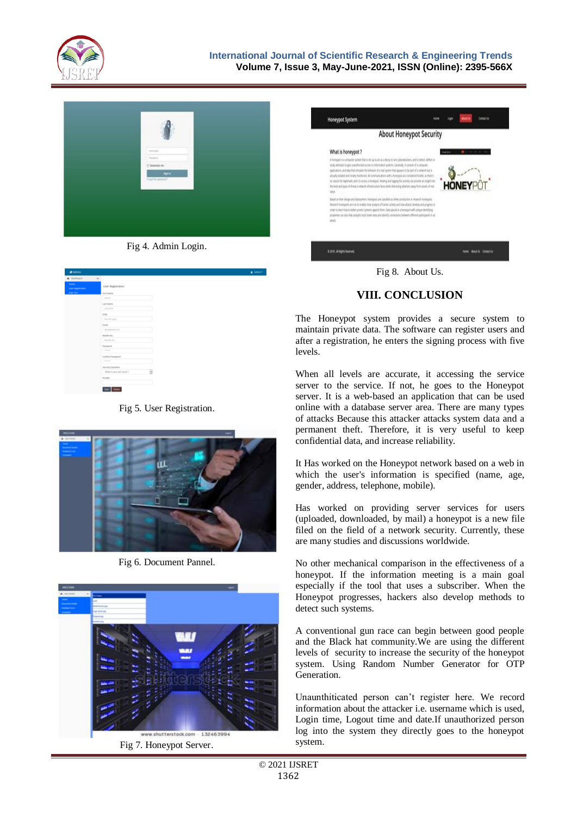



Fig 4. Admin Login.

| d Admin                               |                              |  |
|---------------------------------------|------------------------------|--|
| <b>&amp;</b> Dahboard                 | $\omega_{\rm c}$             |  |
| <b>College</b><br><b>CONFIDENTIAL</b> | User Registration            |  |
| <b>CANADIAN</b>                       | First Name                   |  |
|                                       | <b>Ballyman</b>              |  |
|                                       | Last Name                    |  |
|                                       | Turnprise                    |  |
|                                       | DOM:                         |  |
|                                       | did million panel            |  |
|                                       | Email                        |  |
|                                       | aborignation.                |  |
|                                       | Adoptine Inc.<br>Mulphy No.  |  |
|                                       | Password                     |  |
|                                       | -                            |  |
|                                       | Conferent permanent          |  |
|                                       | -----                        |  |
|                                       | Security Question            |  |
|                                       | Ŵ<br>What is your pat name ? |  |
|                                       | Archest                      |  |
|                                       |                              |  |
|                                       | See Debts                    |  |

Fig 5. User Registration.



Fig 6. Document Pannel.



Fig 7. Honeypot Server.



Fig 8. About Us.

# **VIII. CONCLUSION**

The Honeypot system provides a secure system to maintain private data. The software can register users and after a registration, he enters the signing process with five levels.

When all levels are accurate, it accessing the service server to the service. If not, he goes to the Honeypot server. It is a web-based an application that can be used online with a database server area. There are many types of attacks Because this attacker attacks system data and a permanent theft. Therefore, it is very useful to keep confidential data, and increase reliability.

It Has worked on the Honeypot network based on a web in which the user's information is specified (name, age, gender, address, telephone, mobile).

Has worked on providing server services for users (uploaded, downloaded, by mail) a honeypot is a new file filed on the field of a network security. Currently, these are many studies and discussions worldwide.

No other mechanical comparison in the effectiveness of a honeypot. If the information meeting is a main goal especially if the tool that uses a subscriber. When the Honeypot progresses, hackers also develop methods to detect such systems.

A conventional gun race can begin between good people and the Black hat community.We are using the different levels of security to increase the security of the honeypot system. Using Random Number Generator for OTP Generation.

Unaunthiticated person can't register here. We record information about the attacker i.e. username which is used, Login time, Logout time and date.If unauthorized person log into the system they directly goes to the honeypot system.